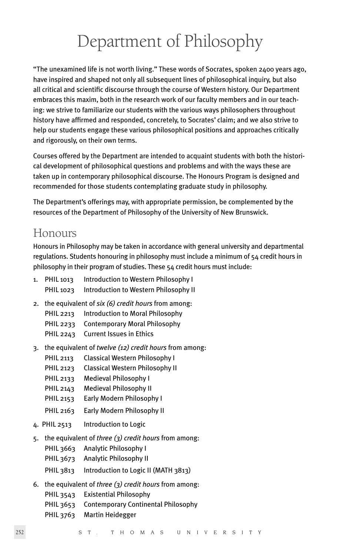# Department of Philosophy

"The unexamined life is not worth living." These words of Socrates, spoken 2400 years ago, have inspired and shaped not only all subsequent lines of philosophical inquiry, but also all critical and scientific discourse through the course of Western history. Our Department embraces this maxim, both in the research work of our faculty members and in our teaching: we strive to familiarize our students with the various ways philosophers throughout history have affirmed and responded, concretely, to Socrates' claim; and we also strive to help our students engage these various philosophical positions and approaches critically and rigorously, on their own terms.

Courses offered by the Department are intended to acquaint students with both the historical development of philosophical questions and problems and with the ways these are taken up in contemporary philosophical discourse. The Honours Program is designed and recommended for those students contemplating graduate study in philosophy.

The Department's offerings may, with appropriate permission, be complemented by the resources of the Department of Philosophy of the University of New Brunswick.

### Honours

Honours in Philosophy may be taken in accordance with general university and departmental regulations. Students honouring in philosophy must include a minimum of 54 credit hours in philosophy in their program of studies. These 54 credit hours must include:

| 1. PHIL 1013 | Introduction to Western Philosophy I  |
|--------------|---------------------------------------|
| PHIL 1023    | Introduction to Western Philosophy II |

- 2. the equivalent of *six (6) credit hours* from among:
	- PHIL 2213 Introduction to Moral Philosophy
	- PHIL 2233 Contemporary Moral Philosophy
	- PHIL 2243 Current Issues in Ethics
- 3. the equivalent of *twelve (12) credit hours* from among:
	- PHIL 2113 Classical Western Philosophy I
	- PHIL 2123 Classical Western Philosophy II
	- PHIL 2133 Medieval Philosophy I
	- PHIL 2143 Medieval Philosophy II
	- PHIL 2153 Early Modern Philosophy I
	- PHIL 2163 Early Modern Philosophy II
- 4. PHIL 2513 Introduction to Logic
- 5. the equivalent of *three (3) credit hours* from among:
	- PHIL 3663 Analytic Philosophy I
	- PHIL 3673 Analytic Philosophy II
	- PHIL 3813 Introduction to Logic II (MATH 3813)
- 6. the equivalent of *three (3) credit hours* from among:
	- PHIL 3543 Existential Philosophy
		- PHIL 3653 Contemporary Continental Philosophy
		- PHIL 3763 Martin Heidegger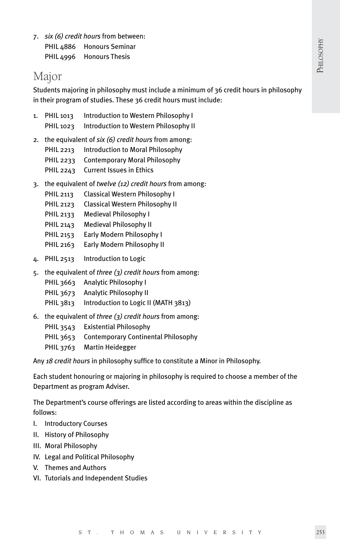7. *six (6) credit hours* from between: PHIL 4886 Honours Seminar PHIL 4996 Honours Thesis

## Major

Students majoring in philosophy must include a minimum of 36 credit hours in philosophy in their program of studies. These 36 credit hours must include:

- 1. PHIL 1013 Introduction to Western Philosophy I PHIL 1023 Introduction to Western Philosophy II
- 2. the equivalent of *six (6) credit hours* from among: PHIL 2213 Introduction to Moral Philosophy PHIL 2233 Contemporary Moral Philosophy PHIL 2243 Current Issues in Ethics
- 3. the equivalent of *twelve (12) credit hours* from among:
	- PHIL 2113 Classical Western Philosophy I
	- PHIL 2123 Classical Western Philosophy II
	- PHIL 2133 Medieval Philosophy I
	- PHIL 2143 Medieval Philosophy II
	- PHIL 2153 Early Modern Philosophy I
	- PHIL 2163 Early Modern Philosophy II
- 4. PHIL 2513 Introduction to Logic
- 5. the equivalent of *three (3) credit hours* from among:
	- PHIL 3663 Analytic Philosophy I
	- PHIL 3673 Analytic Philosophy II
	- PHIL 3813 Introduction to Logic II (MATH 3813)
- 6. the equivalent of *three (3) credit hours* from among:
	- PHIL 3543 Existential Philosophy
	- PHIL 3653 Contemporary Continental Philosophy
	- PHIL 3763 Martin Heidegger

Any *18 credit hours* in philosophy suffice to constitute a Minor in Philosophy.

Each student honouring or majoring in philosophy is required to choose a member of the Department as program Adviser.

The Department's course offerings are listed according to areas within the discipline as follows:

- I. Introductory Courses
- II. History of Philosophy
- III. Moral Philosophy
- IV. Legal and Political Philosophy
- V. Themes and Authors
- VI. Tutorials and Independent Studies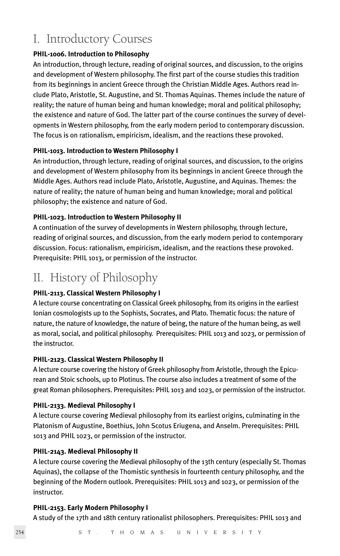## I. Introductory Courses

#### **PHIL-1006. Introduction to Philosophy**

An introduction, through lecture, reading of original sources, and discussion, to the origins and development of Western philosophy. The first part of the course studies this tradition from its beginnings in ancient Greece through the Christian Middle Ages. Authors read include Plato, Aristotle, St. Augustine, and St. Thomas Aquinas. Themes include the nature of reality; the nature of human being and human knowledge; moral and political philosophy; the existence and nature of God. The latter part of the course continues the survey of developments in Western philosophy, from the early modern period to contemporary discussion. The focus is on rationalism, empiricism, idealism, and the reactions these provoked.

#### **PHIL-1013. Introduction to Western Philosophy I**

An introduction, through lecture, reading of original sources, and discussion, to the origins and development of Western philosophy from its beginnings in ancient Greece through the Middle Ages. Authors read include Plato, Aristotle, Augustine, and Aquinas. Themes: the nature of reality; the nature of human being and human knowledge; moral and political philosophy; the existence and nature of God.

#### **PHIL-1023. Introduction to Western Philosophy II**

A continuation of the survey of developments in Western philosophy, through lecture, reading of original sources, and discussion, from the early modern period to contemporary discussion. Focus: rationalism, empiricism, idealism, and the reactions these provoked. Prerequisite: PHIL 1013, or permission of the instructor.

## II. History of Philosophy

#### **PHIL-2113. Classical Western Philosophy I**

A lecture course concentrating on Classical Greek philosophy, from its origins in the earliest Ionian cosmologists up to the Sophists, Socrates, and Plato. Thematic focus: the nature of nature, the nature of knowledge, the nature of being, the nature of the human being, as well as moral, social, and political philosophy. Prerequisites: PHIL 1013 and 1023, or permission of the instructor.

#### **PHIL-2123. Classical Western Philosophy II**

A lecture course covering the history of Greek philosophy from Aristotle, through the Epicurean and Stoic schools, up to Plotinus. The course also includes a treatment of some of the great Roman philosophers. Prerequisites: PHIL 1013 and 1023, or permission of the instructor.

#### **PHIL-2133. Medieval Philosophy I**

A lecture course covering Medieval philosophy from its earliest origins, culminating in the Platonism of Augustine, Boethius, John Scotus Eriugena, and Anselm. Prerequisites: PHIL 1013 and PHIL 1023, or permission of the instructor.

#### **PHIL-2143. Medieval Philosophy II**

A lecture course covering the Medieval philosophy of the 13th century (especially St. Thomas Aquinas), the collapse of the Thomistic synthesis in fourteenth century philosophy, and the beginning of the Modern outlook. Prerequisites: PHIL 1013 and 1023, or permission of the instructor.

#### **PHIL-2153. Early Modern Philosophy I**

A study of the 17th and 18th century rationalist philosophers. Prerequisites: PHIL 1013 and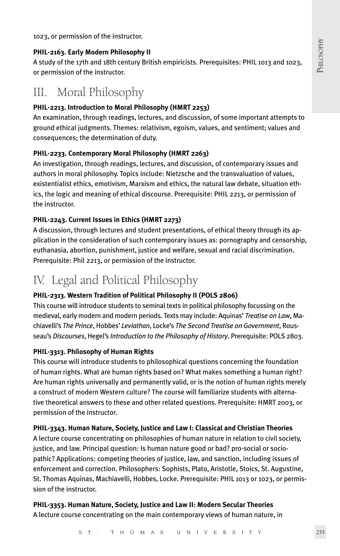1023, or permission of the instructor.

#### **PHIL-2163. Early Modern Philosophy II**

A study of the 17th and 18th century British empiricists. Prerequisites: PHIL 1013 and 1023, or permission of the instructor.

## III. Moral Philosophy

#### **PHIL-2213. Introduction to Moral Philosophy (HMRT 2253)**

An examination, through readings, lectures, and discussion, of some important attempts to ground ethical judgments. Themes: relativism, egoism, values, and sentiment; values and consequences; the determination of duty.

#### **PHIL-2233. Contemporary Moral Philosophy (HMRT 2263)**

An investigation, through readings, lectures, and discussion, of contemporary issues and authors in moral philosophy. Topics include: Nietzsche and the transvaluation of values, existentialist ethics, emotivism, Marxism and ethics, the natural law debate, situation ethics, the logic and meaning of ethical discourse. Prerequisite: PHIL 2213, or permission of the instructor.

#### **PHIL-2243. Current Issues in Ethics (HMRT 2273)**

A discussion, through lectures and student presentations, of ethical theory through its application in the consideration of such contemporary issues as: pornography and censorship, euthanasia, abortion, punishment, justice and welfare, sexual and racial discrimination. Prerequisite: Phil 2213, or permission of the instructor.

## IV. Legal and Political Philosophy

#### **PHIL-2313. Western Tradition of Political Philosophy II (POLS 2806)**

This course will introduce students to seminal texts in political philosophy focussing on the medieval, early modern and modern periods. Texts may include: Aquinas' *Treatise on Law*, Machiavelli's *The Prince*, Hobbes' *Leviathan*, Locke's *The Second Treatise on Government*, Rousseau's *Discourses*, Hegel's *Introduction to the Philosophy of History*. Prerequisite: POLS 2803.

#### **PHIL-3313. Philosophy of Human Rights**

This course will introduce students to philosophical questions concerning the foundation of human rights. What are human rights based on? What makes something a human right? Are human rights universally and permanently valid, or is the notion of human rights merely a construct of modern Western culture? The course will familiarize students with alternative theoretical answers to these and other related questions. Prerequisite: HMRT 2003, or permission of the instructor.

#### **PHIL-3343. Human Nature, Society, Justice and Law I: Classical and Christian Theories**

A lecture course concentrating on philosophies of human nature in relation to civil society, justice, and law. Principal question: Is human nature good or bad? pro-social or sociopathic? Applications: competing theories of justice, law, and sanction, including issues of enforcement and correction. Philosophers: Sophists, Plato, Aristotle, Stoics, St. Augustine, St. Thomas Aquinas, Machiavelli, Hobbes, Locke. Prerequisite: PHIL 1013 or 1023, or permission of the instructor.

**PHIL-3353. Human Nature, Society, Justice and Law II: Modern Secular Theories** A lecture course concentrating on the main contemporary views of human nature, in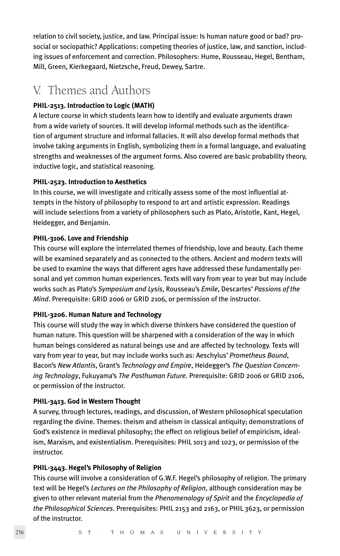relation to civil society, justice, and law. Principal issue: Is human nature good or bad? prosocial or sociopathic? Applications: competing theories of justice, law, and sanction, including issues of enforcement and correction. Philosophers: Hume, Rousseau, Hegel, Bentham, Mill, Green, Kierkegaard, Nietzsche, Freud, Dewey, Sartre.

## V. Themes and Authors

#### **PHIL-2513. Introduction to Logic (MATH)**

A lecture course in which students learn how to identify and evaluate arguments drawn from a wide variety of sources. It will develop informal methods such as the identification of argument structure and informal fallacies. It will also develop formal methods that involve taking arguments in English, symbolizing them in a formal language, and evaluating strengths and weaknesses of the argument forms. Also covered are basic probability theory, inductive logic, and statistical reasoning.

#### **PHIL-2523. Introduction to Aesthetics**

In this course, we will investigate and critically assess some of the most influential attempts in the history of philosophy to respond to art and artistic expression. Readings will include selections from a variety of philosophers such as Plato, Aristotle, Kant, Hegel, Heidegger, and Benjamin.

#### **PHIL-3106. Love and Friendship**

This course will explore the interrelated themes of friendship, love and beauty. Each theme will be examined separately and as connected to the others. Ancient and modern texts will be used to examine the ways that different ages have addressed these fundamentally personal and yet common human experiences. Texts will vary from year to year but may include works such as Plato's *Symposium and Lysis*, Rousseau's *Emile*, Descartes' *Passions of the Mind*. Prerequisite: GRID 2006 or GRID 2106, or permission of the instructor.

#### **PHIL-3206. Human Nature and Technology**

This course will study the way in which diverse thinkers have considered the question of human nature. This question will be sharpened with a consideration of the way in which human beings considered as natural beings use and are affected by technology. Texts will vary from year to year, but may include works such as: Aeschylus' *Prometheus Bound*, Bacon's *New Atlantis*, Grant's *Technology and Empire*, Heidegger's *The Question Concerning Technology*, Fukuyama's *The Posthuman Future*. Prerequisite: GRID 2006 or GRID 2106, or permission of the instructor.

#### **PHIL-3413. God in Western Thought**

A survey, through lectures, readings, and discussion, of Western philosophical speculation regarding the divine. Themes: theism and atheism in classical antiquity; demonstrations of God's existence in medieval philosophy; the effect on religious belief of empiricism, idealism, Marxism, and existentialism. Prerequisites: PHIL 1013 and 1023, or permission of the instructor.

#### **PHIL-3443. Hegel's Philosophy of Religion**

This course will involve a consideration of G.W.F. Hegel's philosophy of religion. The primary text will be Hegel's *Lectures on the Philosophy of Religion*, although consideration may be given to other relevant material from the *Phenomenology of Spirit* and the *Encyclopedia of the Philosophical Sciences*. Prerequisites: PHIL 2153 and 2163, or PHIL 3623, or permission of the instructor.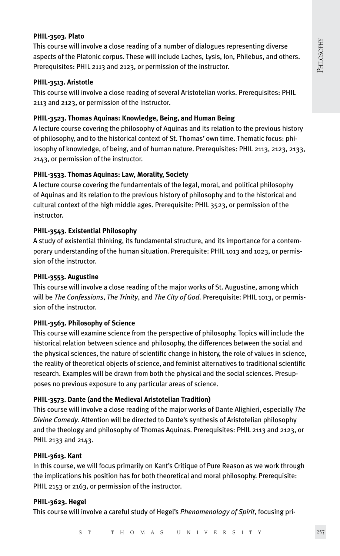#### **PHIL-3503. Plato**

This course will involve a close reading of a number of dialogues representing diverse aspects of the Platonic corpus. These will include Laches, Lysis, Ion, Philebus, and others. Prerequisites: PHIL 2113 and 2123, or permission of the instructor.

#### **PHIL-3513. Aristotle**

This course will involve a close reading of several Aristotelian works. Prerequisites: PHIL 2113 and 2123, or permission of the instructor.

#### **PHIL-3523. Thomas Aquinas: Knowledge, Being, and Human Being**

A lecture course covering the philosophy of Aquinas and its relation to the previous history of philosophy, and to the historical context of St. Thomas' own time. Thematic focus: philosophy of knowledge, of being, and of human nature. Prerequisites: PHIL 2113, 2123, 2133, 2143, or permission of the instructor.

#### **PHIL-3533. Thomas Aquinas: Law, Morality, Society**

A lecture course covering the fundamentals of the legal, moral, and political philosophy of Aquinas and its relation to the previous history of philosophy and to the historical and cultural context of the high middle ages. Prerequisite: PHIL 3523, or permission of the instructor.

#### **PHIL-3543. Existential Philosophy**

A study of existential thinking, its fundamental structure, and its importance for a contemporary understanding of the human situation. Prerequisite: PHIL 1013 and 1023, or permission of the instructor.

#### **PHIL-3553. Augustine**

This course will involve a close reading of the major works of St. Augustine, among which will be *The Confessions*, *The Trinity*, and *The City of God.* Prerequisite: PHIL 1013, or permission of the instructor.

#### **PHIL-3563. Philosophy of Science**

This course will examine science from the perspective of philosophy. Topics will include the historical relation between science and philosophy, the differences between the social and the physical sciences, the nature of scientific change in history, the role of values in science, the reality of theoretical objects of science, and feminist alternatives to traditional scientific research. Examples will be drawn from both the physical and the social sciences. Presupposes no previous exposure to any particular areas of science.

#### **PHIL-3573. Dante (and the Medieval Aristotelian Tradition)**

This course will involve a close reading of the major works of Dante Alighieri, especially *The Divine Comedy*. Attention will be directed to Dante's synthesis of Aristotelian philosophy and the theology and philosophy of Thomas Aquinas. Prerequisites: PHIL 2113 and 2123, or PHIL 2133 and 2143.

#### **PHIL-3613. Kant**

In this course, we will focus primarily on Kant's Critique of Pure Reason as we work through the implications his position has for both theoretical and moral philosophy. Prerequisite: PHIL 2153 or 2163, or permission of the instructor.

#### **PHIL-3623. Hegel**

This course will involve a careful study of Hegel's *Phenomenology of Spirit*, focusing pri-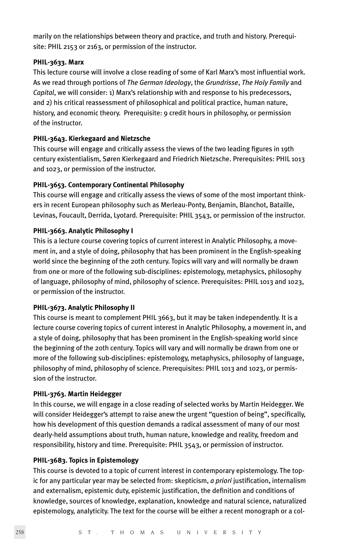marily on the relationships between theory and practice, and truth and history. Prerequisite: PHIL 2153 or 2163, or permission of the instructor.

#### **PHIL-3633. Marx**

This lecture course will involve a close reading of some of Karl Marx's most influential work. As we read through portions of *The German Ideology*, the *Grundrisse*, *The Holy Family* and *Capital*, we will consider: 1) Marx's relationship with and response to his predecessors, and 2) his critical reassessment of philosophical and political practice, human nature, history, and economic theory. Prerequisite: 9 credit hours in philosophy, or permission of the instructor.

#### **PHIL-3643. Kierkegaard and Nietzsche**

This course will engage and critically assess the views of the two leading figures in 19th century existentialism, Søren Kierkegaard and Friedrich Nietzsche. Prerequisites: PHIL 1013 and 1023, or permission of the instructor.

#### **PHIL-3653. Contemporary Continental Philosophy**

This course will engage and critically assess the views of some of the most important thinkers in recent European philosophy such as Merleau-Ponty, Benjamin, Blanchot, Bataille, Levinas, Foucault, Derrida, Lyotard. Prerequisite: PHIL 3543, or permission of the instructor.

#### **PHIL-3663. Analytic Philosophy I**

This is a lecture course covering topics of current interest in Analytic Philosophy, a movement in, and a style of doing, philosophy that has been prominent in the English-speaking world since the beginning of the 20th century. Topics will vary and will normally be drawn from one or more of the following sub-disciplines: epistemology, metaphysics, philosophy of language, philosophy of mind, philosophy of science. Prerequisites: PHIL 1013 and 1023, or permission of the instructor.

#### **PHIL-3673. Analytic Philosophy II**

This course is meant to complement PHIL 3663, but it may be taken independently. It is a lecture course covering topics of current interest in Analytic Philosophy, a movement in, and a style of doing, philosophy that has been prominent in the English-speaking world since the beginning of the 20th century. Topics will vary and will normally be drawn from one or more of the following sub-disciplines: epistemology, metaphysics, philosophy of language, philosophy of mind, philosophy of science. Prerequisites: PHIL 1013 and 1023, or permission of the instructor.

#### **PHIL-3763. Martin Heidegger**

In this course, we will engage in a close reading of selected works by Martin Heidegger. We will consider Heidegger's attempt to raise anew the urgent "question of being", specifically, how his development of this question demands a radical assessment of many of our most dearly-held assumptions about truth, human nature, knowledge and reality, freedom and responsibility, history and time. Prerequisite: PHIL 3543, or permission of instructor.

#### **PHIL-3683. Topics in Epistemology**

This course is devoted to a topic of current interest in contemporary epistemology. The topic for any particular year may be selected from: skepticism, *a priori* justification, internalism and externalism, epistemic duty, epistemic justification, the definition and conditions of knowledge, sources of knowledge, explanation, knowledge and natural science, naturalized epistemology, analyticity. The text for the course will be either a recent monograph or a col